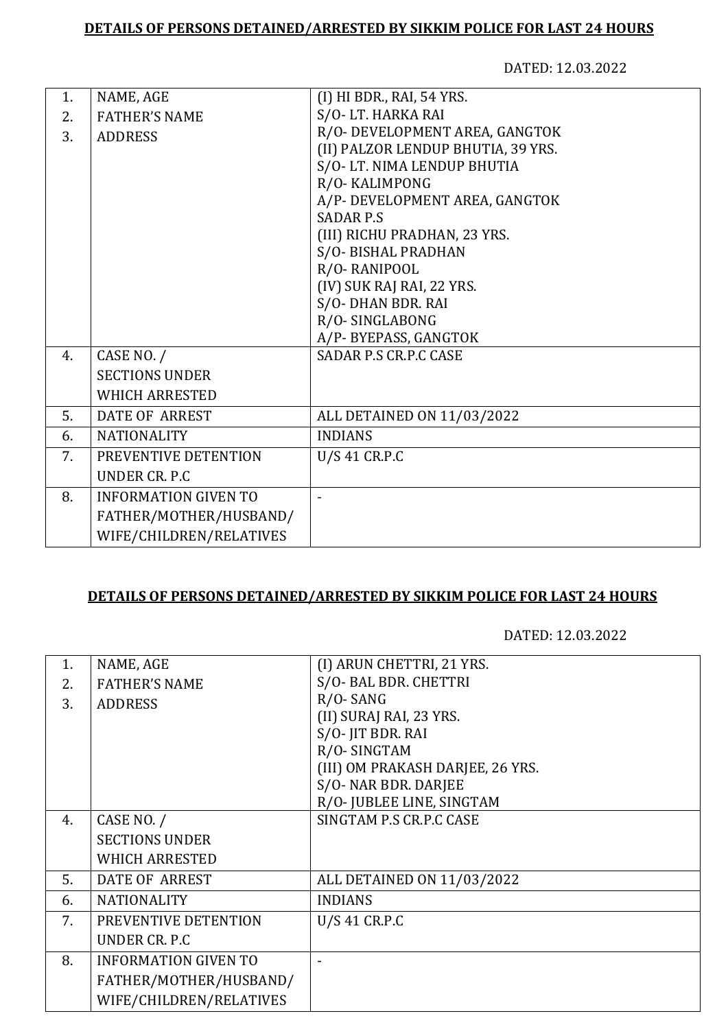DATED: 12.03.2022

| 1. | NAME, AGE                   | (I) HI BDR., RAI, 54 YRS.          |
|----|-----------------------------|------------------------------------|
| 2. | <b>FATHER'S NAME</b>        | S/O-LT. HARKA RAI                  |
| 3. | <b>ADDRESS</b>              | R/O- DEVELOPMENT AREA, GANGTOK     |
|    |                             | (II) PALZOR LENDUP BHUTIA, 39 YRS. |
|    |                             | S/O-LT. NIMA LENDUP BHUTIA         |
|    |                             | R/O-KALIMPONG                      |
|    |                             | A/P- DEVELOPMENT AREA, GANGTOK     |
|    |                             | <b>SADAR P.S.</b>                  |
|    |                             | (III) RICHU PRADHAN, 23 YRS.       |
|    |                             | S/O-BISHAL PRADHAN                 |
|    |                             | R/O-RANIPOOL                       |
|    |                             | (IV) SUK RAJ RAI, 22 YRS.          |
|    |                             | S/O-DHAN BDR. RAI                  |
|    |                             | R/O-SINGLABONG                     |
|    |                             | A/P-BYEPASS, GANGTOK               |
| 4. | CASE NO. /                  | <b>SADAR P.S CR.P.C CASE</b>       |
|    | <b>SECTIONS UNDER</b>       |                                    |
|    | <b>WHICH ARRESTED</b>       |                                    |
| 5. | <b>DATE OF ARREST</b>       | ALL DETAINED ON 11/03/2022         |
| 6. | <b>NATIONALITY</b>          | <b>INDIANS</b>                     |
| 7. | PREVENTIVE DETENTION        | U/S 41 CR.P.C                      |
|    | UNDER CR. P.C.              |                                    |
| 8. | <b>INFORMATION GIVEN TO</b> | L,                                 |
|    | FATHER/MOTHER/HUSBAND/      |                                    |
|    | WIFE/CHILDREN/RELATIVES     |                                    |
|    |                             |                                    |

## **DETAILS OF PERSONS DETAINED/ARRESTED BY SIKKIM POLICE FOR LAST 24 HOURS**

| 1. | NAME, AGE                   | (I) ARUN CHETTRI, 21 YRS.        |
|----|-----------------------------|----------------------------------|
| 2. | <b>FATHER'S NAME</b>        | S/O- BAL BDR. CHETTRI            |
| 3. | <b>ADDRESS</b>              | $R/O$ -SANG                      |
|    |                             | (II) SURAJ RAI, 23 YRS.          |
|    |                             | S/O-JIT BDR. RAI                 |
|    |                             | R/O-SINGTAM                      |
|    |                             | (III) OM PRAKASH DARJEE, 26 YRS. |
|    |                             | S/O- NAR BDR. DARJEE             |
|    |                             | R/O- JUBLEE LINE, SINGTAM        |
| 4. | CASE NO. /                  | SINGTAM P.S CR.P.C CASE          |
|    | <b>SECTIONS UNDER</b>       |                                  |
|    | <b>WHICH ARRESTED</b>       |                                  |
| 5. | DATE OF ARREST              | ALL DETAINED ON 11/03/2022       |
| 6. | <b>NATIONALITY</b>          | <b>INDIANS</b>                   |
| 7. | PREVENTIVE DETENTION        | U/S 41 CR.P.C                    |
|    | UNDER CR. P.C               |                                  |
| 8. | <b>INFORMATION GIVEN TO</b> |                                  |
|    | FATHER/MOTHER/HUSBAND/      |                                  |
|    | WIFE/CHILDREN/RELATIVES     |                                  |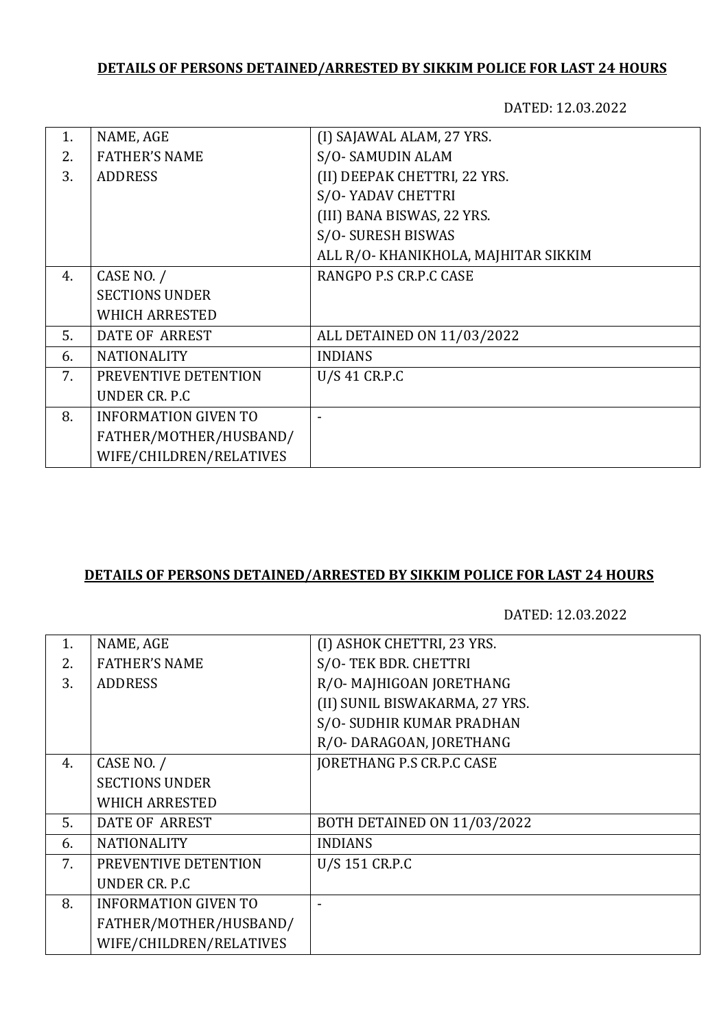DATED: 12.03.2022

| NAME, AGE                   | (I) SAJAWAL ALAM, 27 YRS.            |
|-----------------------------|--------------------------------------|
| <b>FATHER'S NAME</b>        | S/O-SAMUDIN ALAM                     |
| <b>ADDRESS</b>              | (II) DEEPAK CHETTRI, 22 YRS.         |
|                             | S/O-YADAV CHETTRI                    |
|                             | (III) BANA BISWAS, 22 YRS.           |
|                             | S/O-SURESH BISWAS                    |
|                             | ALL R/O- KHANIKHOLA, MAJHITAR SIKKIM |
| CASE NO. /                  | RANGPO P.S CR.P.C CASE               |
| <b>SECTIONS UNDER</b>       |                                      |
| <b>WHICH ARRESTED</b>       |                                      |
| <b>DATE OF ARREST</b>       | ALL DETAINED ON 11/03/2022           |
| <b>NATIONALITY</b>          | <b>INDIANS</b>                       |
| PREVENTIVE DETENTION        | U/S 41 CR.P.C                        |
| UNDER CR. P.C.              |                                      |
| <b>INFORMATION GIVEN TO</b> |                                      |
| FATHER/MOTHER/HUSBAND/      |                                      |
| WIFE/CHILDREN/RELATIVES     |                                      |
|                             |                                      |

## **DETAILS OF PERSONS DETAINED/ARRESTED BY SIKKIM POLICE FOR LAST 24 HOURS**

| 1. | NAME, AGE                   | (I) ASHOK CHETTRI, 23 YRS.     |
|----|-----------------------------|--------------------------------|
| 2. | <b>FATHER'S NAME</b>        | S/O-TEK BDR. CHETTRI           |
| 3. | <b>ADDRESS</b>              | R/O-MAJHIGOAN JORETHANG        |
|    |                             | (II) SUNIL BISWAKARMA, 27 YRS. |
|    |                             | S/O- SUDHIR KUMAR PRADHAN      |
|    |                             | R/O-DARAGOAN, JORETHANG        |
| 4. | CASE NO. /                  | JORETHANG P.S CR.P.C CASE      |
|    | <b>SECTIONS UNDER</b>       |                                |
|    | <b>WHICH ARRESTED</b>       |                                |
| 5. | <b>DATE OF ARREST</b>       | BOTH DETAINED ON 11/03/2022    |
| 6. | <b>NATIONALITY</b>          | <b>INDIANS</b>                 |
| 7. | PREVENTIVE DETENTION        | U/S 151 CR.P.C                 |
|    | UNDER CR. P.C.              |                                |
| 8. | <b>INFORMATION GIVEN TO</b> |                                |
|    | FATHER/MOTHER/HUSBAND/      |                                |
|    | WIFE/CHILDREN/RELATIVES     |                                |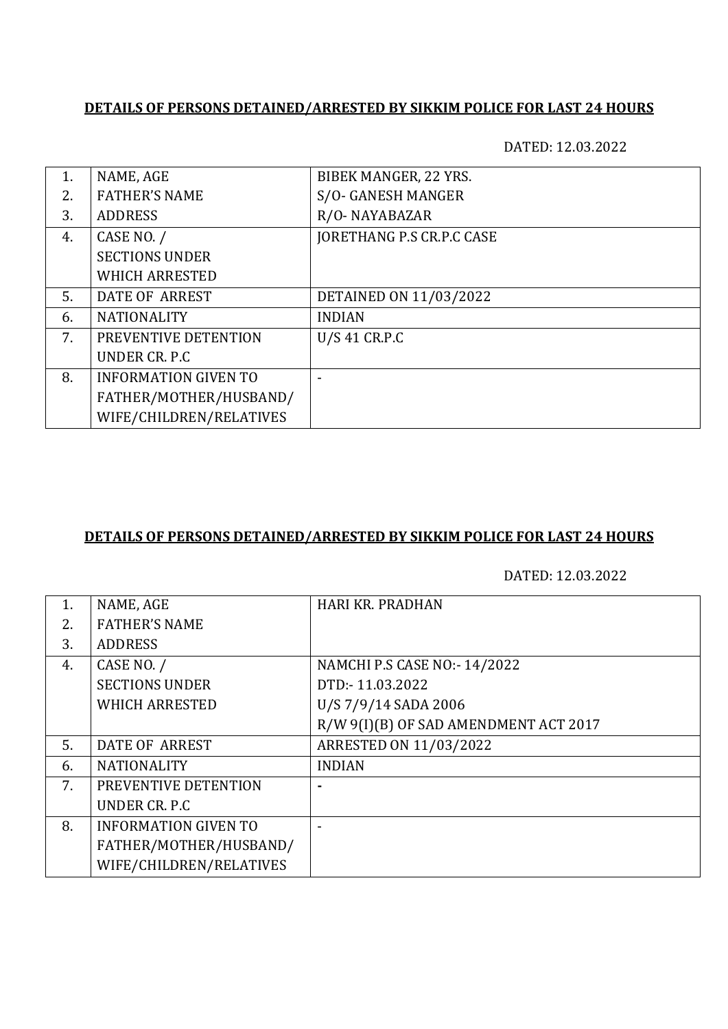DATED: 12.03.2022

| 1. | NAME, AGE                   | BIBEK MANGER, 22 YRS.            |
|----|-----------------------------|----------------------------------|
| 2. | <b>FATHER'S NAME</b>        | S/O- GANESH MANGER               |
| 3. | <b>ADDRESS</b>              | R/O-NAYABAZAR                    |
| 4. | CASE NO. /                  | <b>JORETHANG P.S CR.P.C CASE</b> |
|    | <b>SECTIONS UNDER</b>       |                                  |
|    | <b>WHICH ARRESTED</b>       |                                  |
| 5. | DATE OF ARREST              | DETAINED ON 11/03/2022           |
| 6. | <b>NATIONALITY</b>          | <b>INDIAN</b>                    |
| 7. | PREVENTIVE DETENTION        | U/S 41 CR.P.C                    |
|    | UNDER CR. P.C.              |                                  |
| 8. | <b>INFORMATION GIVEN TO</b> |                                  |
|    | FATHER/MOTHER/HUSBAND/      |                                  |
|    | WIFE/CHILDREN/RELATIVES     |                                  |

#### **DETAILS OF PERSONS DETAINED/ARRESTED BY SIKKIM POLICE FOR LAST 24 HOURS**

|    |                             | <b>HARI KR. PRADHAN</b>               |
|----|-----------------------------|---------------------------------------|
| 1. | NAME, AGE                   |                                       |
| 2. | <b>FATHER'S NAME</b>        |                                       |
| 3. | <b>ADDRESS</b>              |                                       |
| 4. | CASE NO. /                  | NAMCHI P.S CASE NO:- 14/2022          |
|    | <b>SECTIONS UNDER</b>       | DTD:-11.03.2022                       |
|    | <b>WHICH ARRESTED</b>       | U/S 7/9/14 SADA 2006                  |
|    |                             | R/W 9(I)(B) OF SAD AMENDMENT ACT 2017 |
| 5. | <b>DATE OF ARREST</b>       | ARRESTED ON 11/03/2022                |
| 6. | <b>NATIONALITY</b>          | <b>INDIAN</b>                         |
| 7. | PREVENTIVE DETENTION        |                                       |
|    | UNDER CR. P.C.              |                                       |
| 8. | <b>INFORMATION GIVEN TO</b> |                                       |
|    | FATHER/MOTHER/HUSBAND/      |                                       |
|    | WIFE/CHILDREN/RELATIVES     |                                       |